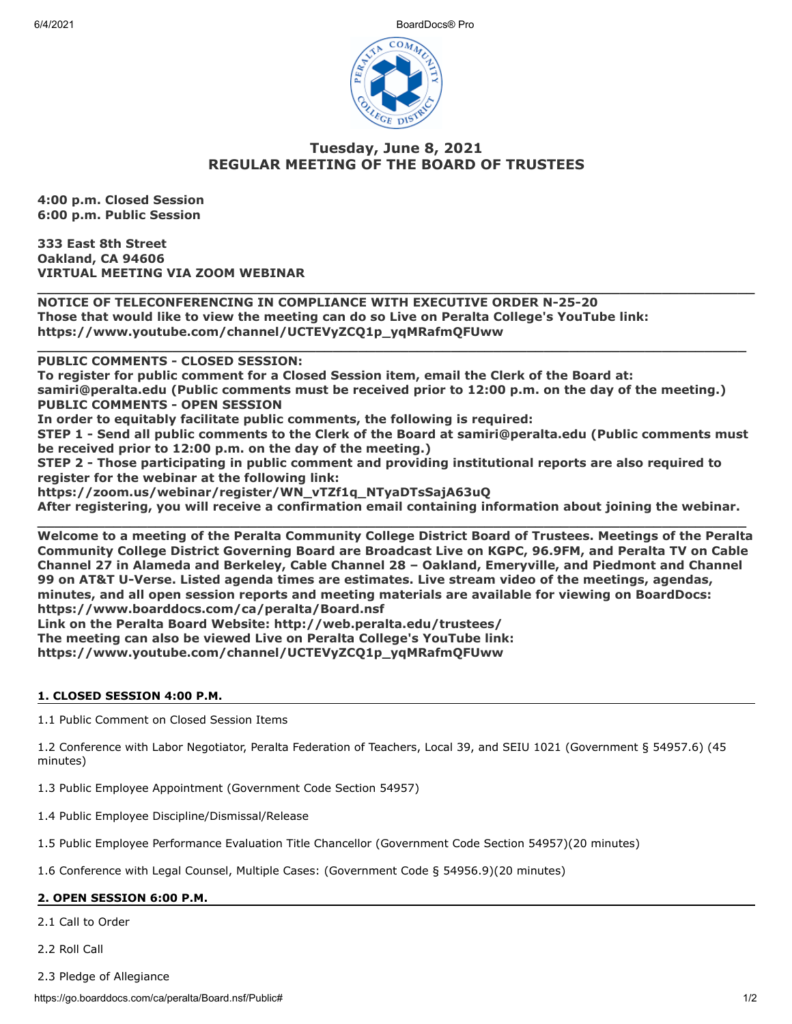6/4/2021 BoardDocs® Pro



# **Tuesday, June 8, 2021 REGULAR MEETING OF THE BOARD OF TRUSTEES**

**\_\_\_\_\_\_\_\_\_\_\_\_\_\_\_\_\_\_\_\_\_\_\_\_\_\_\_\_\_\_\_\_\_\_\_\_\_\_\_\_\_\_\_\_\_\_\_\_\_\_\_\_\_\_\_\_\_\_\_\_\_\_\_\_\_\_\_\_\_\_\_\_\_\_\_\_\_\_\_\_\_\_\_\_\_**

**\_\_\_\_\_\_\_\_\_\_\_\_\_\_\_\_\_\_\_\_\_\_\_\_\_\_\_\_\_\_\_\_\_\_\_\_\_\_\_\_\_\_\_\_\_\_\_\_\_\_\_\_\_\_\_\_\_\_\_\_\_\_\_\_\_\_\_\_\_\_\_\_\_\_\_\_\_\_\_\_\_\_\_\_**

**4:00 p.m. Closed Session 6:00 p.m. Public Session**

**333 East 8th Street Oakland, CA 94606 VIRTUAL MEETING VIA ZOOM WEBINAR**

**NOTICE OF TELECONFERENCING IN COMPLIANCE WITH EXECUTIVE ORDER N-25-20 Those that would like to view the meeting can do so Live on Peralta College's YouTube link: https://www.youtube.com/channel/UCTEVyZCQ1p\_yqMRafmQFUww** 

**PUBLIC COMMENTS - CLOSED SESSION:** 

**To register for public comment for a Closed Session item, email the Clerk of the Board at: samiri@peralta.edu (Public comments must be received prior to 12:00 p.m. on the day of the meeting.) PUBLIC COMMENTS - OPEN SESSION**

**In order to equitably facilitate public comments, the following is required:**

**STEP 1 - Send all public comments to the Clerk of the Board at samiri@peralta.edu (Public comments must be received prior to 12:00 p.m. on the day of the meeting.)**

**STEP 2 - Those participating in public comment and providing institutional reports are also required to register for the webinar at the following link:**

**https://zoom.us/webinar/register/WN\_vTZf1q\_NTyaDTsSajA63uQ**

**After registering, you will receive a confirmation email containing information about joining the webinar.**

**\_\_\_\_\_\_\_\_\_\_\_\_\_\_\_\_\_\_\_\_\_\_\_\_\_\_\_\_\_\_\_\_\_\_\_\_\_\_\_\_\_\_\_\_\_\_\_\_\_\_\_\_\_\_\_\_\_\_\_\_\_\_\_\_\_\_\_\_\_\_\_\_\_\_\_\_\_\_\_\_\_\_\_\_ Welcome to a meeting of the Peralta Community College District Board of Trustees. Meetings of the Peralta Community College District Governing Board are Broadcast Live on KGPC, 96.9FM, and Peralta TV on Cable Channel 27 in Alameda and Berkeley, Cable Channel 28 – Oakland, Emeryville, and Piedmont and Channel 99 on AT&T U-Verse. Listed agenda times are estimates. Live stream video of the meetings, agendas, minutes, and all open session reports and meeting materials are available for viewing on BoardDocs: https://www.boarddocs.com/ca/peralta/Board.nsf Link on the Peralta Board Website: http://web.peralta.edu/trustees/**

**The meeting can also be viewed Live on Peralta College's YouTube link:**

**https://www.youtube.com/channel/UCTEVyZCQ1p\_yqMRafmQFUww**

## **1. CLOSED SESSION 4:00 P.M.**

1.1 Public Comment on Closed Session Items

1.2 Conference with Labor Negotiator, Peralta Federation of Teachers, Local 39, and SEIU 1021 (Government § 54957.6) (45 minutes)

1.3 Public Employee Appointment (Government Code Section 54957)

1.4 Public Employee Discipline/Dismissal/Release

1.5 Public Employee Performance Evaluation Title Chancellor (Government Code Section 54957)(20 minutes)

1.6 Conference with Legal Counsel, Multiple Cases: (Government Code § 54956.9)(20 minutes)

## **2. OPEN SESSION 6:00 P.M.**

2.1 Call to Order

2.2 Roll Call

2.3 Pledge of Allegiance